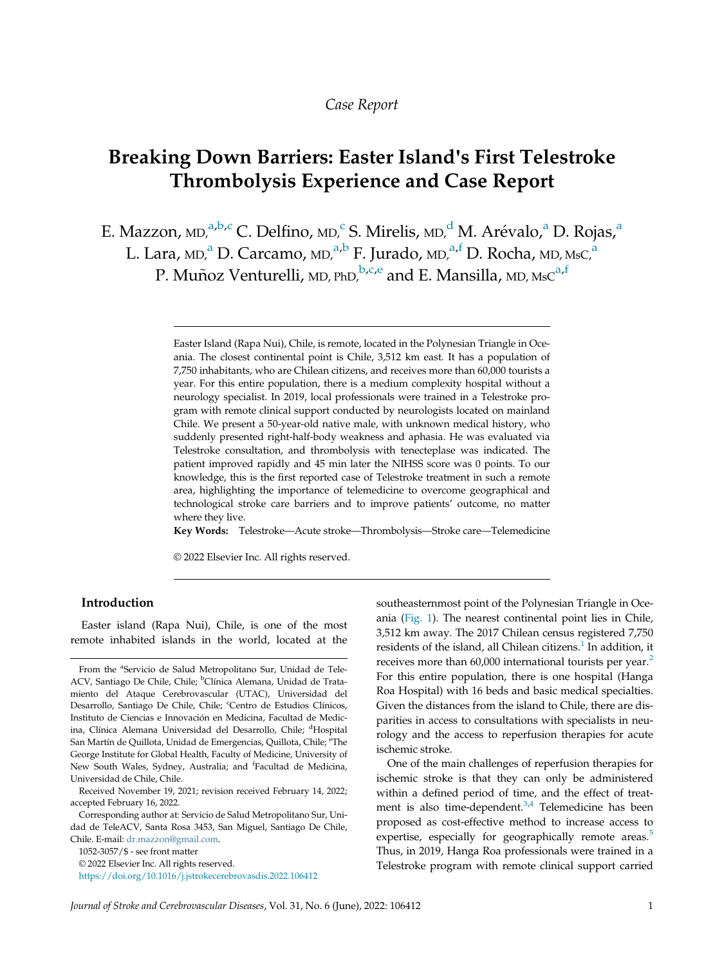## Case Report

# Breaking Down Barriers: Easter Island's First Telestroke Thrombolysis Experience and Case Report

<span id="page-0-0"></span>E. M[a](#page-0-0)zzon,  $MD, a,b,c$  $MD, a,b,c$  C. Delfino,  $MD, c$  $MD, c$  S. Mirelis,  $MD, d$  $MD, d$  M. Arévalo, $a$  D. Rojas, $a$ 

L. L[a](#page-0-0)ra, md,<sup>a</sup> D. Carcamo, md,<sup>a,[b](#page-0-0)</sup> F. Jurado, md,<sup>[a,](#page-0-0)f</sup> D. Rocha, md, msc,<sup>a</sup>

P. Muñoz Venturelli, MD, PhD,  $b,c,e$  $b,c,e$  $b,c,e$  and E. Mansill[a,](#page-0-0) MD, MsC<sup>a,f</sup>

Key Words: Telestroke—Acute stroke—Thrombolysis—Stroke care—Telemedicine

© 2022 Elsevier Inc. All rights reserved.

### Introduction

Easter island (Rapa Nui), Chile, is one of the most remote inhabited islands in the world, located at the

Received November 19, 2021; revision received February 14, 2022; accepted February 16, 2022.

Corresponding author at: Servicio de Salud Metropolitano Sur, Unidad de TeleACV, Santa Rosa 3453, San Miguel, Santiago De Chile, Chile. E-mail: [dr.mazzon@gmail.com.](mailto:dr.mazzon@gmail.com)

1052-3057/\$ - see front matter © 2022 Elsevier Inc. All rights reserved. <https://doi.org/10.1016/j.jstrokecerebrovasdis.2022.106412> southeasternmost point of the Polynesian Triangle in Oceania ([Fig. 1\)](#page-1-0). The nearest continental point lies in Chile, 3,512 km away. The 2017 Chilean census registered 7,750 residents of the island, all Chilean citizens. $<sup>1</sup>$  $<sup>1</sup>$  $<sup>1</sup>$  In addition, it</sup> receives more than  $60,000$  international tourists per year.<sup>[2](#page-2-1)</sup> For this entire population, there is one hospital (Hanga Roa Hospital) with 16 beds and basic medical specialties. Given the distances from the island to Chile, there are disparities in access to consultations with specialists in neurology and the access to reperfusion therapies for acute ischemic stroke.

One of the main challenges of reperfusion therapies for ischemic stroke is that they can only be administered within a defined period of time, and the effect of treat-ment is also time-dependent.<sup>[3](#page-2-2)[,4](#page-2-3)</sup> Telemedicine has been proposed as cost-effective method to increase access to expertise, especially for geographically remote areas.<sup>[5](#page-2-4)</sup> Thus, in 2019, Hanga Roa professionals were trained in a Telestroke program with remote clinical support carried

Easter Island (Rapa Nui), Chile, is remote, located in the Polynesian Triangle in Oceania. The closest continental point is Chile, 3,512 km east. It has a population of 7,750 inhabitants, who are Chilean citizens, and receives more than 60,000 tourists a year. For this entire population, there is a medium complexity hospital without a neurology specialist. In 2019, local professionals were trained in a Telestroke program with remote clinical support conducted by neurologists located on mainland Chile. We present a 50-year-old native male, with unknown medical history, who suddenly presented right-half-body weakness and aphasia. He was evaluated via Telestroke consultation, and thrombolysis with tenecteplase was indicated. The patient improved rapidly and 45 min later the NIHSS score was 0 points. To our knowledge, this is the first reported case of Telestroke treatment in such a remote area, highlighting the importance of telemedicine to overcome geographical and technological stroke care barriers and to improve patients' outcome, no matter where they live.

From the <sup>a</sup>Servicio de Salud Metropolitano Sur, Unidad de Tele-ACV, Santiago De Chile, Chile; <sup>b</sup>Clínica Alemana, Unidad de Tratamiento del Ataque Cerebrovascular (UTAC), Universidad del Desarrollo, Santiago De Chile, Chile; <sup>c</sup>Centro de Estudios Clínicos, Instituto de Ciencias e Innovacion en Medicina, Facultad de Medic ina, Clínica Alemana Universidad del Desarrollo, Chile; <sup>d</sup>Hospital San Martín de Quillota, Unidad de Emergencias, Quillota, Chile; <sup>e</sup>The George Institute for Global Health, Faculty of Medicine, University of New South Wales, Sydney, Australia; and <sup>f</sup>Facultad de Medicina, Universidad de Chile, Chile.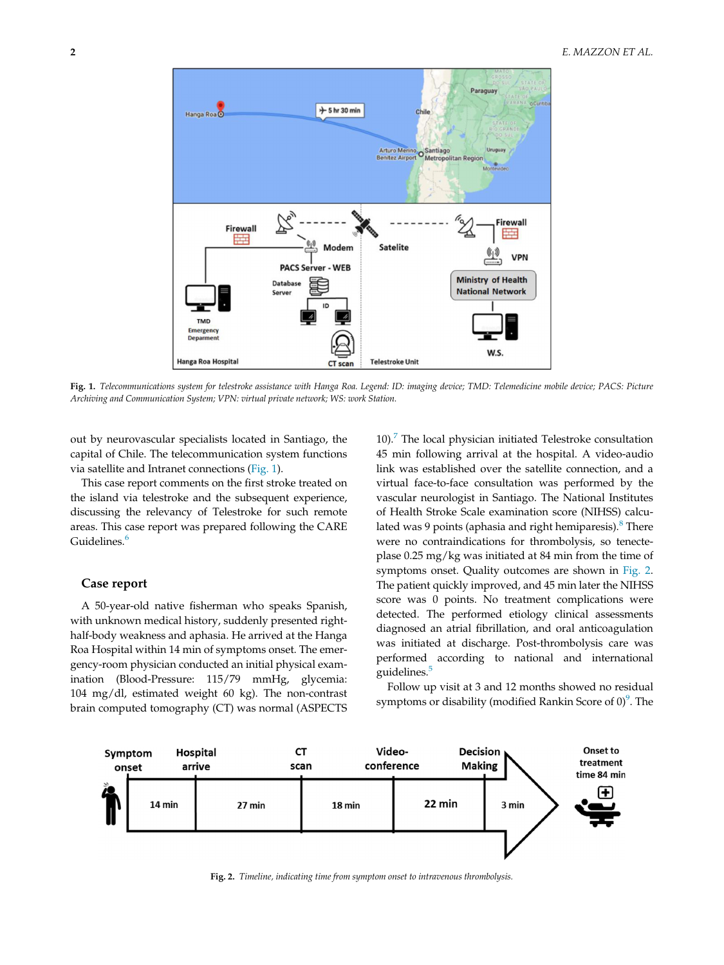<span id="page-1-0"></span>

Fig. 1. Telecommunications system for telestroke assistance with Hanga Roa. Legend: ID: imaging device; TMD: Telemedicine mobile device; PACS: Picture Archiving and Communication System; VPN: virtual private network; WS: work Station.

out by neurovascular specialists located in Santiago, the capital of Chile. The telecommunication system functions via satellite and Intranet connections [\(Fig. 1](#page-1-0)).

This case report comments on the first stroke treated on the island via telestroke and the subsequent experience, discussing the relevancy of Telestroke for such remote areas. This case report was prepared following the CARE Guidelines.<sup>[6](#page-2-5)</sup>

#### Case report

A 50-year-old native fisherman who speaks Spanish, with unknown medical history, suddenly presented righthalf-body weakness and aphasia. He arrived at the Hanga Roa Hospital within 14 min of symptoms onset. The emergency-room physician conducted an initial physical examination (Blood-Pressure: 115/79 mmHg, glycemia: 104 mg/dl, estimated weight 60 kg). The non-contrast brain computed tomography (CT) was normal (ASPECTS 10). $\frac{7}{10}$  $\frac{7}{10}$  $\frac{7}{10}$  The local physician initiated Telestroke consultation 45 min following arrival at the hospital. A video-audio link was established over the satellite connection, and a virtual face-to-face consultation was performed by the vascular neurologist in Santiago. The National Institutes of Health Stroke Scale examination score (NIHSS) calcu-lated was 9 points (aphasia and right hemiparesis).<sup>[8](#page-2-7)</sup> There were no contraindications for thrombolysis, so tenecteplase 0.25 mg/kg was initiated at 84 min from the time of symptoms onset. Quality outcomes are shown in [Fig. 2.](#page-1-1) The patient quickly improved, and 45 min later the NIHSS score was 0 points. No treatment complications were detected. The performed etiology clinical assessments diagnosed an atrial fibrillation, and oral anticoagulation was initiated at discharge. Post-thrombolysis care was performed according to national and international guidelines.<sup>[5](#page-2-4)</sup>

Follow up visit at 3 and 12 months showed no residual symptoms or disability (modified Rankin Score of  $0$ ) $^9$  $^9$ . The

<span id="page-1-1"></span>

Fig. 2. Timeline, indicating time from symptom onset to intravenous thrombolysis.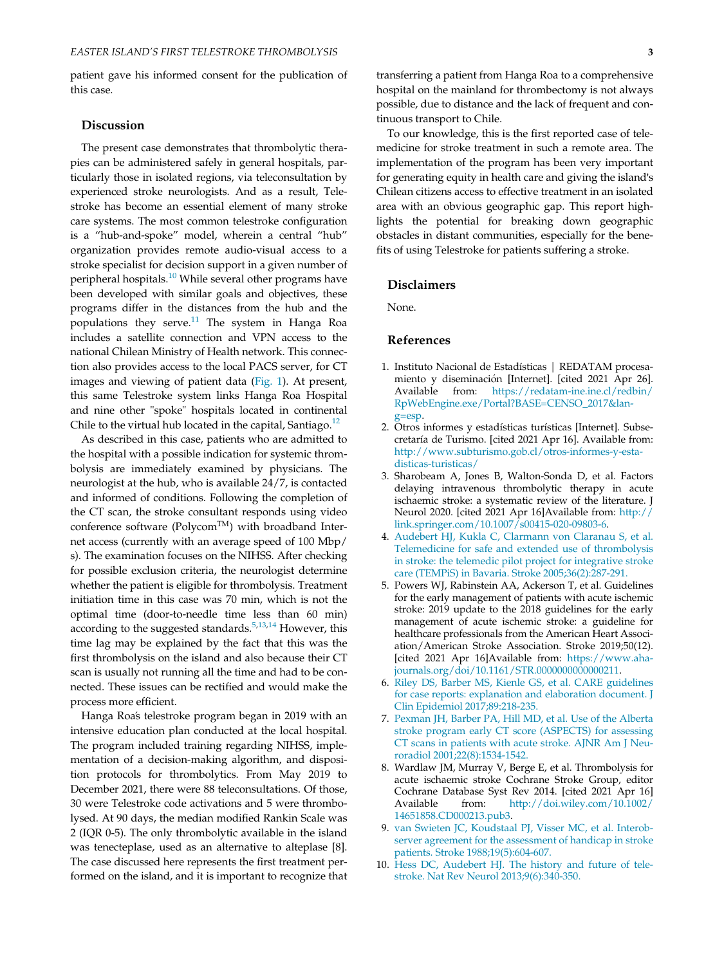patient gave his informed consent for the publication of this case.

#### **Discussion**

The present case demonstrates that thrombolytic therapies can be administered safely in general hospitals, particularly those in isolated regions, via teleconsultation by experienced stroke neurologists. And as a result, Telestroke has become an essential element of many stroke care systems. The most common telestroke configuration is a "hub-and-spoke" model, wherein a central "hub" organization provides remote audio-visual access to a stroke specialist for decision support in a given number of peripheral hospitals.<sup>[10](#page-2-9)</sup> While several other programs have been developed with similar goals and objectives, these programs differ in the distances from the hub and the populations they serve. $11$  The system in Hanga Roa includes a satellite connection and VPN access to the national Chilean Ministry of Health network. This connection also provides access to the local PACS server, for CT images and viewing of patient data [\(Fig. 1\)](#page-1-0). At present, this same Telestroke system links Hanga Roa Hospital and nine other "spoke" hospitals located in continental Chile to the virtual hub located in the capital, Santiago. $^{12}$  $^{12}$  $^{12}$ 

<span id="page-2-3"></span><span id="page-2-2"></span><span id="page-2-1"></span><span id="page-2-0"></span>As described in this case, patients who are admitted to the hospital with a possible indication for systemic thrombolysis are immediately examined by physicians. The neurologist at the hub, who is available 24/7, is contacted and informed of conditions. Following the completion of the CT scan, the stroke consultant responds using video conference software (Polycom<sup>TM</sup>) with broadband Internet access (currently with an average speed of 100 Mbp/ s). The examination focuses on the NIHSS. After checking for possible exclusion criteria, the neurologist determine whether the patient is eligible for thrombolysis. Treatment initiation time in this case was 70 min, which is not the optimal time (door-to-needle time less than 60 min) according to the suggested standards.<sup>[5](#page-2-4),[13](#page-3-2)[,14](#page-3-3)</sup> However, this time lag may be explained by the fact that this was the first thrombolysis on the island and also because their CT scan is usually not running all the time and had to be connected. These issues can be rectified and would make the process more efficient.

<span id="page-2-9"></span><span id="page-2-8"></span><span id="page-2-7"></span><span id="page-2-6"></span><span id="page-2-5"></span><span id="page-2-4"></span>Hanga Roas telestroke program began in 2019 with an intensive education plan conducted at the local hospital. The program included training regarding NIHSS, implementation of a decision-making algorithm, and disposition protocols for thrombolytics. From May 2019 to December 2021, there were 88 teleconsultations. Of those, 30 were Telestroke code activations and 5 were thrombolysed. At 90 days, the median modified Rankin Scale was 2 (IQR 0-5). The only thrombolytic available in the island was tenecteplase, used as an alternative to alteplase [8]. The case discussed here represents the first treatment performed on the island, and it is important to recognize that

transferring a patient from Hanga Roa to a comprehensive hospital on the mainland for thrombectomy is not always possible, due to distance and the lack of frequent and continuous transport to Chile.

To our knowledge, this is the first reported case of telemedicine for stroke treatment in such a remote area. The implementation of the program has been very important for generating equity in health care and giving the island's Chilean citizens access to effective treatment in an isolated area with an obvious geographic gap. This report highlights the potential for breaking down geographic obstacles in distant communities, especially for the benefits of using Telestroke for patients suffering a stroke.

#### Disclaimers

None.

#### References

- 1. Instituto Nacional de Estadísticas | REDATAM procesamiento y diseminación [Internet]. [cited 2021 Apr 26]. Available from: [https://redatam-ine.ine.cl/redbin/](https://redatam-ine.ine.cl/redbin/RpWebEngine.exe/Portal?BASE=CENSO_2017&lang=esp) [RpWebEngine.exe/Portal?BASE=CENSO\\_2017&lan](https://redatam-ine.ine.cl/redbin/RpWebEngine.exe/Portal?BASE=CENSO_2017&lang=esp)[g=esp.](https://redatam-ine.ine.cl/redbin/RpWebEngine.exe/Portal?BASE=CENSO_2017&lang=esp)
- 2. Otros informes y estadísticas turísticas [Internet]. Subsecretaría de Turismo. [cited 2021 Apr 16]. Available from: [http://www.subturismo.gob.cl/otros-informes-y-esta](http://www.subturismo.gob.cl/otros-informes-y-estadisticas-turisticas/)[disticas-turisticas/](http://www.subturismo.gob.cl/otros-informes-y-estadisticas-turisticas/)
- 3. Sharobeam A, Jones B, Walton-Sonda D, et al. Factors delaying intravenous thrombolytic therapy in acute ischaemic stroke: a systematic review of the literature. J Neurol 2020. [cited 2021 Apr 16]Available from: [http://](http://link.springer.com/10.1007/s00415-020-09803-6) [link.springer.com/10.1007/s00415-020-09803-6.](http://link.springer.com/10.1007/s00415-020-09803-6)
- 4. [Audebert HJ, Kukla C, Clarmann von Claranau S, et al.](http://refhub.elsevier.com/S1052-3057(22)00109-4/sbref0004) [Telemedicine for safe and extended use of thrombolysis](http://refhub.elsevier.com/S1052-3057(22)00109-4/sbref0004) [in stroke: the telemedic pilot project for integrative stroke](http://refhub.elsevier.com/S1052-3057(22)00109-4/sbref0004) [care \(TEMPiS\) in Bavaria. Stroke 2005;36\(2\):287-291.](http://refhub.elsevier.com/S1052-3057(22)00109-4/sbref0004)
- 5. Powers WJ, Rabinstein AA, Ackerson T, et al. Guidelines for the early management of patients with acute ischemic stroke: 2019 update to the 2018 guidelines for the early management of acute ischemic stroke: a guideline for healthcare professionals from the American Heart Association/American Stroke Association. Stroke 2019;50(12). [cited 2021 Apr 16]Available from: [https://www.aha](https://www.ahajournals.org/doi/10.1161/STR.0000000000000211)[journals.org/doi/10.1161/STR.0000000000000211](https://www.ahajournals.org/doi/10.1161/STR.0000000000000211).
- 6. [Riley DS, Barber MS, Kienle GS, et al. CARE guidelines](http://refhub.elsevier.com/S1052-3057(22)00109-4/sbref0006) [for case reports: explanation and elaboration document. J](http://refhub.elsevier.com/S1052-3057(22)00109-4/sbref0006) [Clin Epidemiol 2017;89:218-235.](http://refhub.elsevier.com/S1052-3057(22)00109-4/sbref0006)
- 7. [Pexman JH, Barber PA, Hill MD, et al. Use of the Alberta](http://refhub.elsevier.com/S1052-3057(22)00109-4/sbref0007) [stroke program early CT score \(ASPECTS\) for assessing](http://refhub.elsevier.com/S1052-3057(22)00109-4/sbref0007) [CT scans in patients with acute stroke. AJNR Am J Neu](http://refhub.elsevier.com/S1052-3057(22)00109-4/sbref0007)[roradiol 2001;22\(8\):1534-1542.](http://refhub.elsevier.com/S1052-3057(22)00109-4/sbref0007)
- 8. Wardlaw JM, Murray V, Berge E, et al. Thrombolysis for acute ischaemic stroke Cochrane Stroke Group, editor Cochrane Database Syst Rev 2014. [cited 2021 Apr 16] Available from: [http://doi.wiley.com/10.1002/](http://doi.wiley.com/10.1002/14651858.CD000213.pub3) [14651858.CD000213.pub3.](http://doi.wiley.com/10.1002/14651858.CD000213.pub3)
- 9. [van Swieten JC, Koudstaal PJ, Visser MC, et al. Interob](http://refhub.elsevier.com/S1052-3057(22)00109-4/sbref0009)[server agreement for the assessment of handicap in stroke](http://refhub.elsevier.com/S1052-3057(22)00109-4/sbref0009) [patients. Stroke 1988;19\(5\):604-607.](http://refhub.elsevier.com/S1052-3057(22)00109-4/sbref0009)
- 10. [Hess DC, Audebert HJ. The history and future of tele](http://refhub.elsevier.com/S1052-3057(22)00109-4/sbref0010)[stroke. Nat Rev Neurol 2013;9\(6\):340-350.](http://refhub.elsevier.com/S1052-3057(22)00109-4/sbref0010)